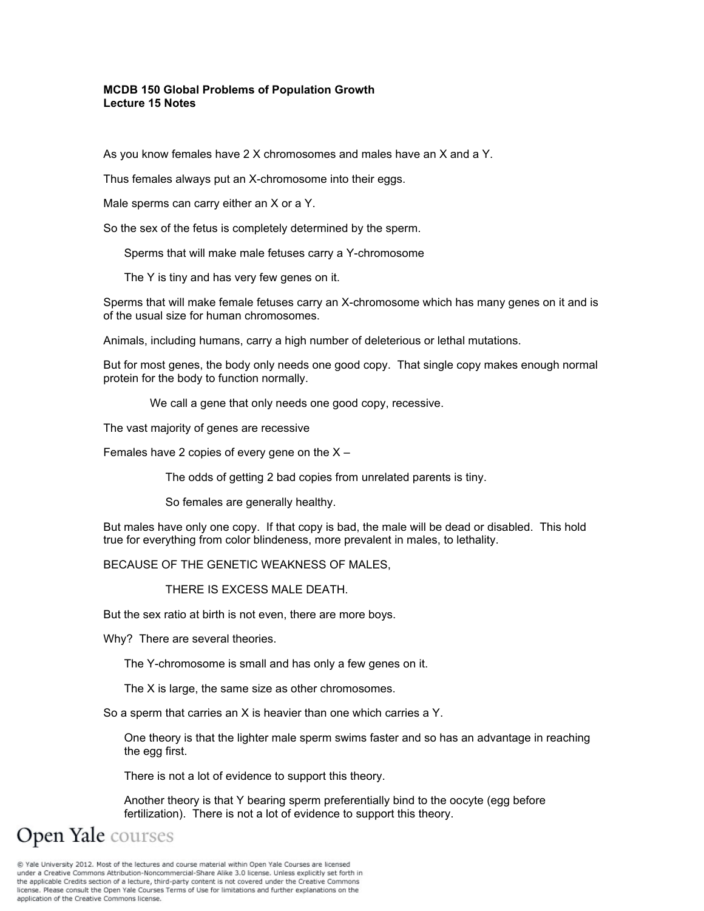### **MCDB 150 Global Problems of Population Growth Lecture 15 Notes**

As you know females have 2 X chromosomes and males have an X and a Y.

Thus females always put an X-chromosome into their eggs.

Male sperms can carry either an X or a Y.

So the sex of the fetus is completely determined by the sperm.

Sperms that will make male fetuses carry a Y-chromosome

The Y is tiny and has very few genes on it.

Sperms that will make female fetuses carry an X-chromosome which has many genes on it and is of the usual size for human chromosomes.

Animals, including humans, carry a high number of deleterious or lethal mutations.

But for most genes, the body only needs one good copy. That single copy makes enough normal protein for the body to function normally.

We call a gene that only needs one good copy, recessive.

The vast majority of genes are recessive

Females have 2 copies of every gene on the  $X -$ 

The odds of getting 2 bad copies from unrelated parents is tiny.

So females are generally healthy.

But males have only one copy. If that copy is bad, the male will be dead or disabled. This hold true for everything from color blindeness, more prevalent in males, to lethality.

BECAUSE OF THE GENETIC WEAKNESS OF MALES,

THERE IS EXCESS MALE DEATH.

But the sex ratio at birth is not even, there are more boys.

Why? There are several theories.

The Y-chromosome is small and has only a few genes on it.

The X is large, the same size as other chromosomes.

So a sperm that carries an X is heavier than one which carries a Y.

One theory is that the lighter male sperm swims faster and so has an advantage in reaching the egg first.

There is not a lot of evidence to support this theory.

Another theory is that Y bearing sperm preferentially bind to the oocyte (egg before fertilization). There is not a lot of evidence to support this theory.

**Open Yale** courses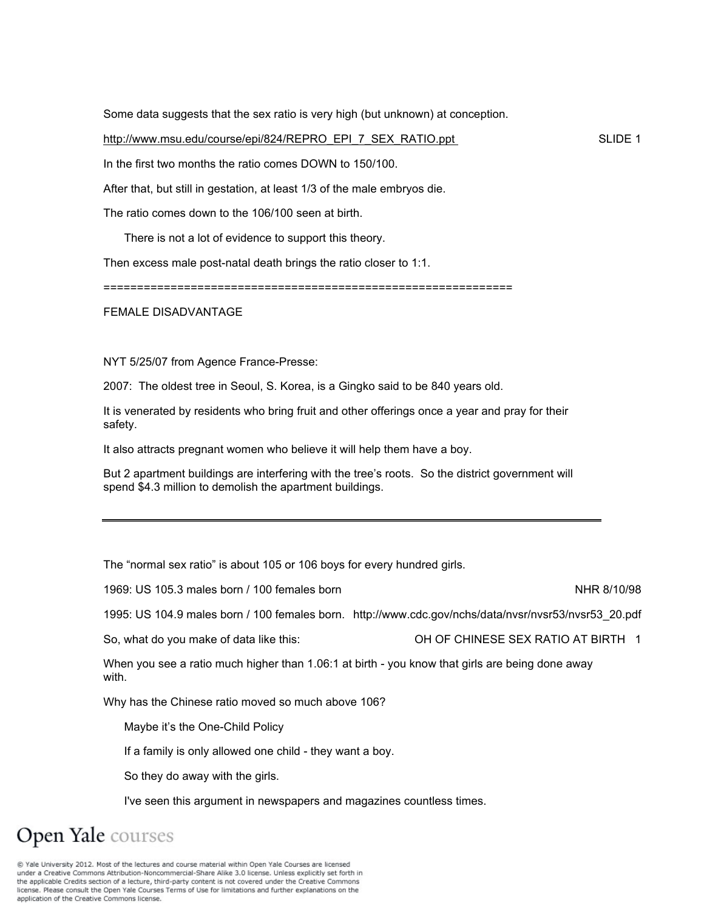Some data suggests that the sex ratio is very high (but unknown) at conception.

http://www.msu.edu/course/epi/824/REPRO\_EPI\_7\_SEX\_RATIO.ppt SLIDE 1

In the first two months the ratio comes DOWN to 150/100.

After that, but still in gestation, at least 1/3 of the male embryos die.

The ratio comes down to the 106/100 seen at birth.

There is not a lot of evidence to support this theory.

Then excess male post-natal death brings the ratio closer to 1:1.

=============================================================

FEMALE DISADVANTAGE

NYT 5/25/07 from Agence France-Presse:

2007: The oldest tree in Seoul, S. Korea, is a Gingko said to be 840 years old.

It is venerated by residents who bring fruit and other offerings once a year and pray for their safety.

It also attracts pregnant women who believe it will help them have a boy.

But 2 apartment buildings are interfering with the tree's roots. So the district government will spend \$4.3 million to demolish the apartment buildings.

The "normal sex ratio" is about 105 or 106 boys for every hundred girls.

1969: US 105.3 males born / 100 females born NHR 8/10/98

1995: US 104.9 males born / 100 females born. http://www.cdc.gov/nchs/data/nvsr/nvsr53/nvsr53\_20.pdf

So, what do you make of data like this: OH OF CHINESE SEX RATIO AT BIRTH 1

When you see a ratio much higher than 1.06:1 at birth - you know that girls are being done away with.

Why has the Chinese ratio moved so much above 106?

Maybe it's the One-Child Policy

If a family is only allowed one child - they want a boy.

So they do away with the girls.

I've seen this argument in newspapers and magazines countless times.

# Open Yale courses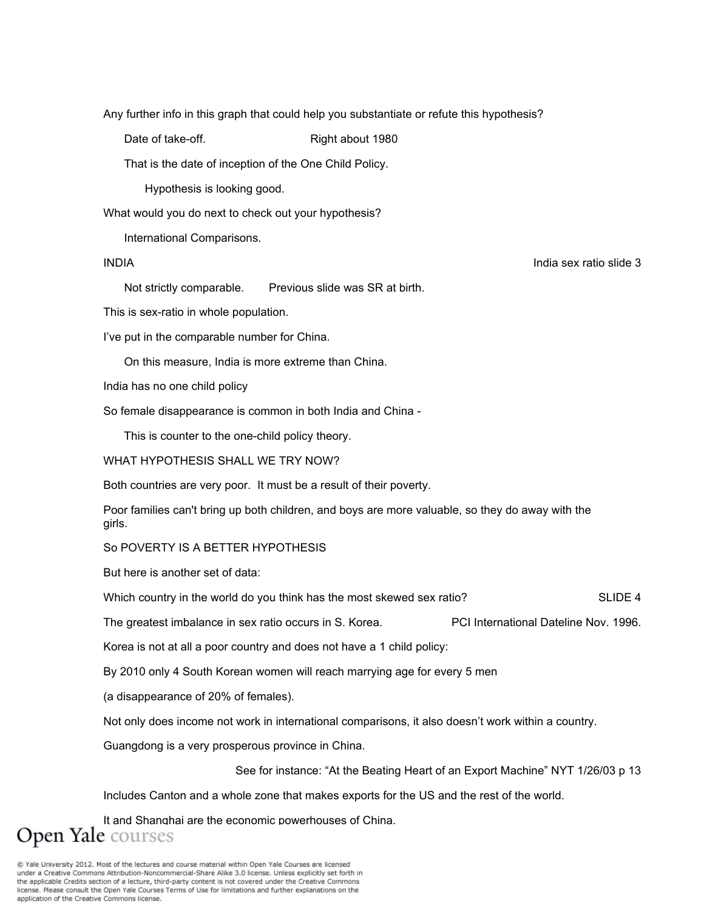Any further info in this graph that could help you substantiate or refute this hypothesis?

Date of take-off. Right about 1980

That is the date of inception of the One Child Policy.

Hypothesis is looking good.

What would you do next to check out your hypothesis?

International Comparisons.

### INDIA India sex ratio slide 3

Not strictly comparable. Previous slide was SR at birth.

This is sex-ratio in whole population.

I've put in the comparable number for China.

On this measure, India is more extreme than China.

India has no one child policy

So female disappearance is common in both India and China -

This is counter to the one-child policy theory.

#### WHAT HYPOTHESIS SHALL WE TRY NOW?

Both countries are very poor. It must be a result of their poverty.

Poor families can't bring up both children, and boys are more valuable, so they do away with the girls.

### So POVERTY IS A BETTER HYPOTHESIS

But here is another set of data:

Which country in the world do you think has the most skewed sex ratio? SLIDE 4

The greatest imbalance in sex ratio occurs in S. Korea. PCI International Dateline Nov. 1996.

Korea is not at all a poor country and does not have a 1 child policy:

By 2010 only 4 South Korean women will reach marrying age for every 5 men

(a disappearance of 20% of females).

Not only does income not work in international comparisons, it also doesn't work within a country.

Guangdong is a very prosperous province in China.

See for instance: "At the Beating Heart of an Export Machine" NYT 1/26/03 p 13

Includes Canton and a whole zone that makes exports for the US and the rest of the world.

It and Shanghai are the economic powerhouses of China. **Open Yale** courses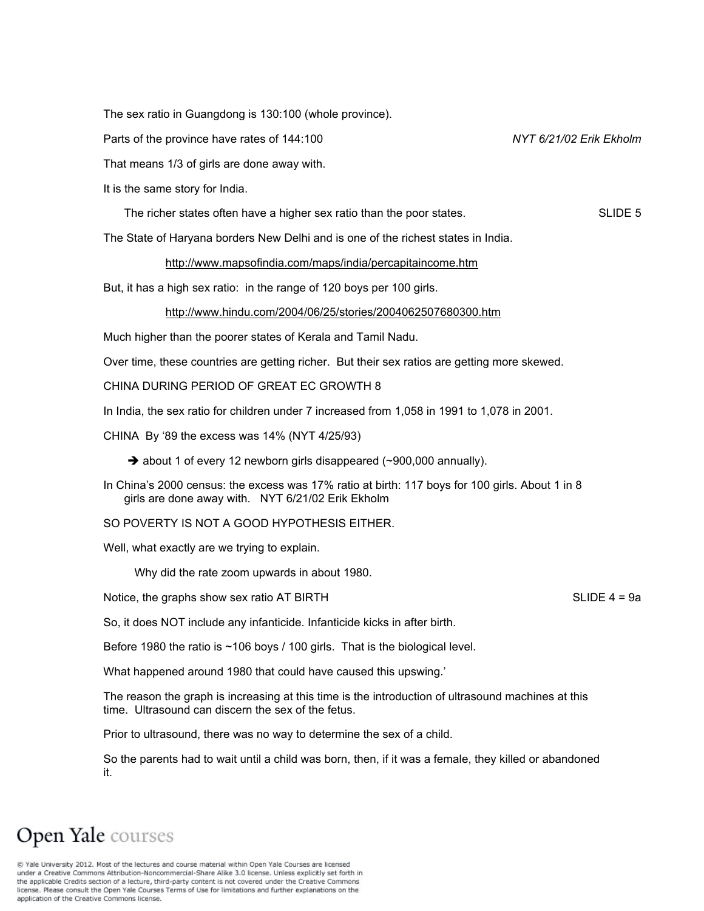The sex ratio in Guangdong is 130:100 (whole province).

Parts of the province have rates of 144:100 *NYT 6/21/02 Erik Ekholm* 

That means 1/3 of girls are done away with.

It is the same story for India.

The richer states often have a higher sex ratio than the poor states. SLIDE 5

The State of Haryana borders New Delhi and is one of the richest states in India.

#### http://www.mapsofindia.com/maps/india/percapitaincome.htm

But, it has a high sex ratio: in the range of 120 boys per 100 girls.

#### http://www.hindu.com/2004/06/25/stories/2004062507680300.htm

Much higher than the poorer states of Kerala and Tamil Nadu.

Over time, these countries are getting richer. But their sex ratios are getting more skewed.

CHINA DURING PERIOD OF GREAT EC GROWTH 8

In India, the sex ratio for children under 7 increased from 1,058 in 1991 to 1,078 in 2001.

CHINA By '89 the excess was 14% (NYT 4/25/93)

 $\rightarrow$  about 1 of every 12 newborn girls disappeared (~900,000 annually).

In China's 2000 census: the excess was 17% ratio at birth: 117 boys for 100 girls. About 1 in 8 girls are done away with. NYT 6/21/02 Erik Ekholm

SO POVERTY IS NOT A GOOD HYPOTHESIS EITHER.

Well, what exactly are we trying to explain.

Why did the rate zoom upwards in about 1980.

Notice, the graphs show sex ratio AT BIRTH SLIDE 4 = 9a

So, it does NOT include any infanticide. Infanticide kicks in after birth.

Before 1980 the ratio is ~106 boys / 100 girls. That is the biological level.

What happened around 1980 that could have caused this upswing.'

The reason the graph is increasing at this time is the introduction of ultrasound machines at this time. Ultrasound can discern the sex of the fetus.

Prior to ultrasound, there was no way to determine the sex of a child.

So the parents had to wait until a child was born, then, if it was a female, they killed or abandoned it.

# Open Yale courses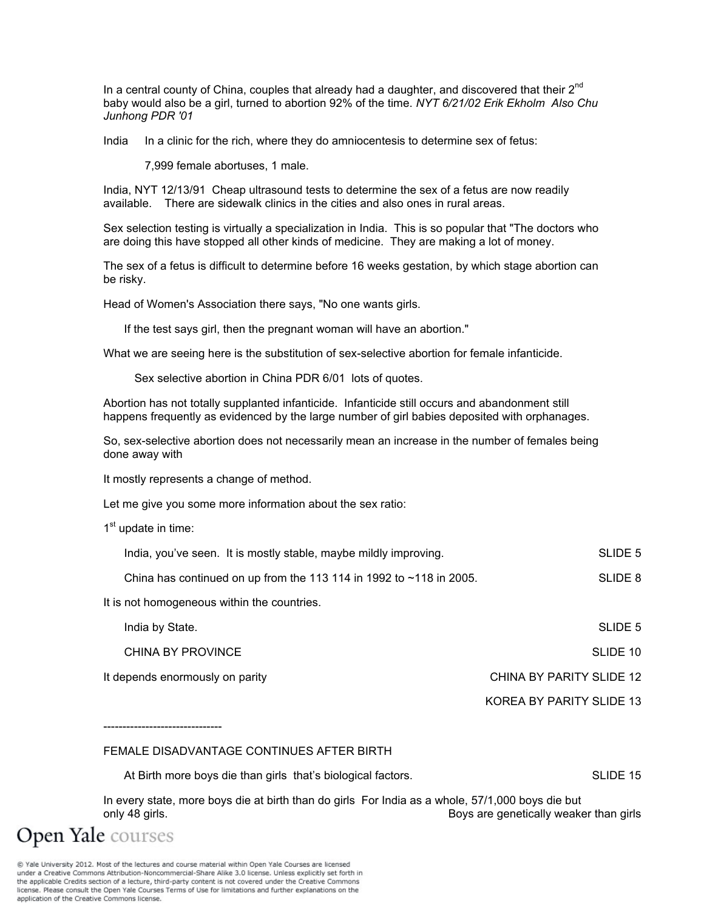In a central county of China, couples that already had a daughter, and discovered that their  $2^{nd}$ baby would also be a girl, turned to abortion 92% of the time. *NYT 6/21/02 Erik Ekholm Also Chu Junhong PDR '01* 

India In a clinic for the rich, where they do amniocentesis to determine sex of fetus:

7,999 female abortuses, 1 male.

India, NYT 12/13/91 Cheap ultrasound tests to determine the sex of a fetus are now readily available. There are sidewalk clinics in the cities and also ones in rural areas.

Sex selection testing is virtually a specialization in India. This is so popular that "The doctors who are doing this have stopped all other kinds of medicine. They are making a lot of money.

The sex of a fetus is difficult to determine before 16 weeks gestation, by which stage abortion can be risky.

Head of Women's Association there says, "No one wants girls.

If the test says girl, then the pregnant woman will have an abortion."

What we are seeing here is the substitution of sex-selective abortion for female infanticide.

Sex selective abortion in China PDR 6/01 lots of quotes.

Abortion has not totally supplanted infanticide. Infanticide still occurs and abandonment still happens frequently as evidenced by the large number of girl babies deposited with orphanages.

So, sex-selective abortion does not necessarily mean an increase in the number of females being done away with

It mostly represents a change of method.

Let me give you some more information about the sex ratio:

 $1<sup>st</sup>$  update in time:

| India, you've seen. It is mostly stable, maybe mildly improving.      | SLIDE 5 |
|-----------------------------------------------------------------------|---------|
| China has continued on up from the 113 114 in 1992 to $~118$ in 2005. | SLIDE 8 |

It is not homogeneous within the countries.

| India by State.                 | SLIDE 5                  |
|---------------------------------|--------------------------|
| CHINA BY PROVINCE               | SLIDE 10                 |
| It depends enormously on parity | CHINA BY PARITY SLIDE 12 |
|                                 | KOREA BY PARITY SLIDE 13 |

-------------------------------

#### FEMALE DISADVANTAGE CONTINUES AFTER BIRTH

| At Birth more boys die than girls that's biological factors. |  | SLIDE 15 |
|--------------------------------------------------------------|--|----------|
|--------------------------------------------------------------|--|----------|

In every state, more boys die at birth than do girls For India as a whole, 57/1,000 boys die but only 48 girls. Boys are genetically weaker than girls

**Open Yale** courses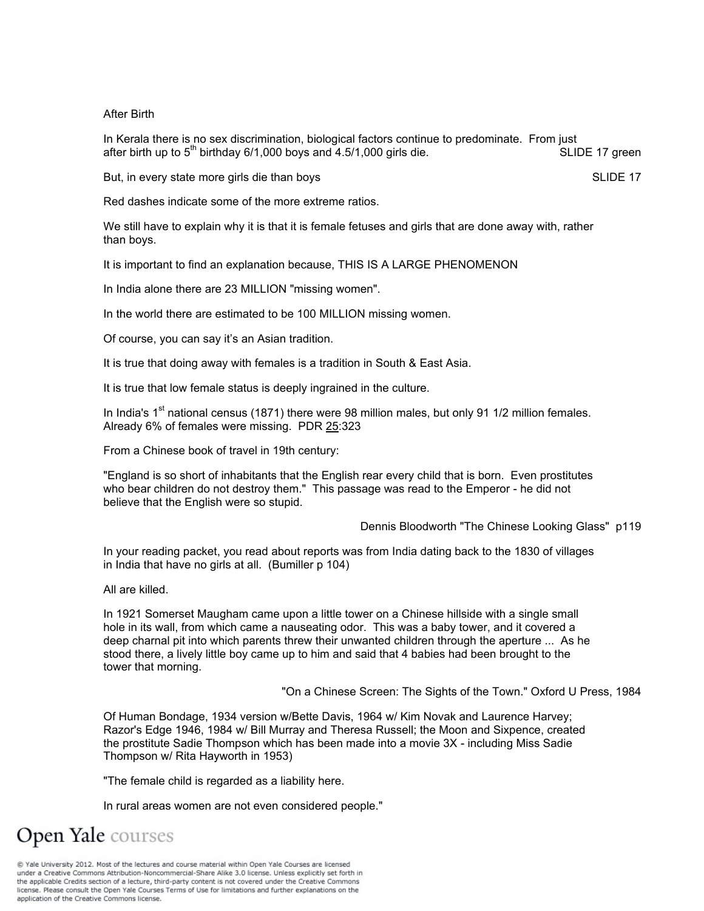#### After Birth

In Kerala there is no sex discrimination, biological factors continue to predominate. From just after birth up to  $5<sup>th</sup>$  birthday 6/1,000 boys and 4.5/1,000 girls die. SLIDE 17 green

But, in every state more girls die than boys **SLIDE 17** and the state of the SLIDE 17

Red dashes indicate some of the more extreme ratios.

We still have to explain why it is that it is female fetuses and girls that are done away with, rather than boys.

It is important to find an explanation because, THIS IS A LARGE PHENOMENON

In India alone there are 23 MILLION "missing women".

In the world there are estimated to be 100 MILLION missing women.

Of course, you can say it's an Asian tradition.

It is true that doing away with females is a tradition in South & East Asia.

It is true that low female status is deeply ingrained in the culture.

In India's  $1<sup>st</sup>$  national census (1871) there were 98 million males, but only 91 1/2 million females. Already 6% of females were missing. PDR 25:323

From a Chinese book of travel in 19th century:

"England is so short of inhabitants that the English rear every child that is born. Even prostitutes who bear children do not destroy them." This passage was read to the Emperor - he did not believe that the English were so stupid.

Dennis Bloodworth "The Chinese Looking Glass" p119

In your reading packet, you read about reports was from India dating back to the 1830 of villages in India that have no girls at all. (Bumiller p 104)

All are killed.

In 1921 Somerset Maugham came upon a little tower on a Chinese hillside with a single small hole in its wall, from which came a nauseating odor. This was a baby tower, and it covered a deep charnal pit into which parents threw their unwanted children through the aperture ... As he stood there, a lively little boy came up to him and said that 4 babies had been brought to the tower that morning.

"On a Chinese Screen: The Sights of the Town." Oxford U Press, 1984

Of Human Bondage, 1934 version w/Bette Davis, 1964 w/ Kim Novak and Laurence Harvey; Razor's Edge 1946, 1984 w/ Bill Murray and Theresa Russell; the Moon and Sixpence, created the prostitute Sadie Thompson which has been made into a movie 3X - including Miss Sadie Thompson w/ Rita Hayworth in 1953)

"The female child is regarded as a liability here.

In rural areas women are not even considered people."

**Open Yale** courses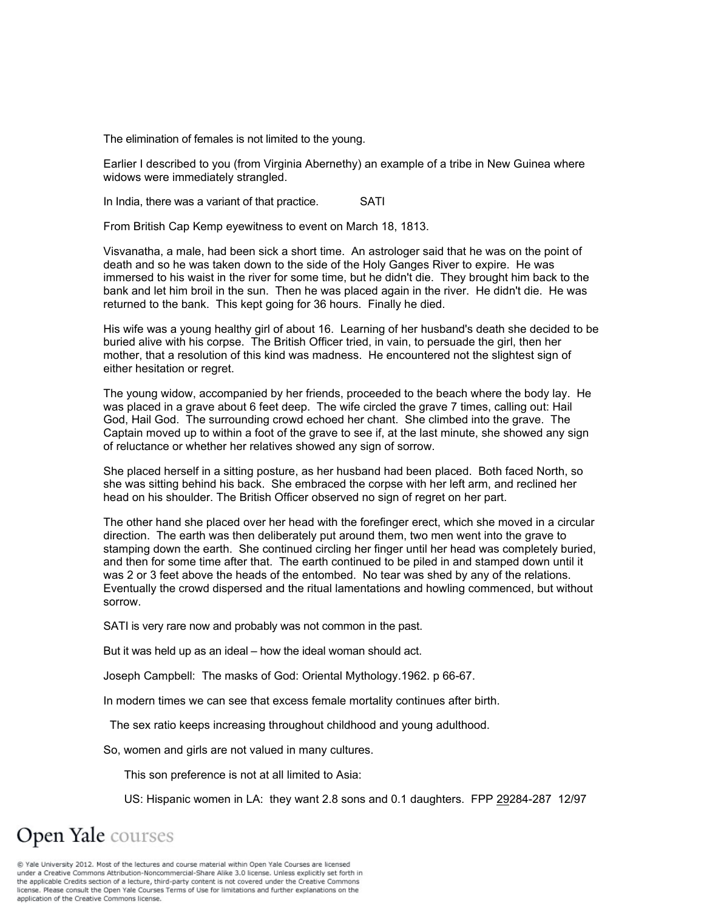The elimination of females is not limited to the young.

Earlier I described to you (from Virginia Abernethy) an example of a tribe in New Guinea where widows were immediately strangled.

In India, there was a variant of that practice. SATI

From British Cap Kemp eyewitness to event on March 18, 1813.

Visvanatha, a male, had been sick a short time. An astrologer said that he was on the point of death and so he was taken down to the side of the Holy Ganges River to expire. He was immersed to his waist in the river for some time, but he didn't die. They brought him back to the bank and let him broil in the sun. Then he was placed again in the river. He didn't die. He was returned to the bank. This kept going for 36 hours. Finally he died.

His wife was a young healthy girl of about 16. Learning of her husband's death she decided to be buried alive with his corpse. The British Officer tried, in vain, to persuade the girl, then her mother, that a resolution of this kind was madness. He encountered not the slightest sign of either hesitation or regret.

The young widow, accompanied by her friends, proceeded to the beach where the body lay. He was placed in a grave about 6 feet deep. The wife circled the grave 7 times, calling out: Hail God, Hail God. The surrounding crowd echoed her chant. She climbed into the grave. The Captain moved up to within a foot of the grave to see if, at the last minute, she showed any sign of reluctance or whether her relatives showed any sign of sorrow.

She placed herself in a sitting posture, as her husband had been placed. Both faced North, so she was sitting behind his back. She embraced the corpse with her left arm, and reclined her head on his shoulder. The British Officer observed no sign of regret on her part.

The other hand she placed over her head with the forefinger erect, which she moved in a circular direction. The earth was then deliberately put around them, two men went into the grave to stamping down the earth. She continued circling her finger until her head was completely buried, and then for some time after that. The earth continued to be piled in and stamped down until it was 2 or 3 feet above the heads of the entombed. No tear was shed by any of the relations. Eventually the crowd dispersed and the ritual lamentations and howling commenced, but without sorrow.

SATI is very rare now and probably was not common in the past.

But it was held up as an ideal – how the ideal woman should act.

Joseph Campbell: The masks of God: Oriental Mythology.1962. p 66-67.

In modern times we can see that excess female mortality continues after birth.

The sex ratio keeps increasing throughout childhood and young adulthood.

So, women and girls are not valued in many cultures.

This son preference is not at all limited to Asia:

US: Hispanic women in LA: they want 2.8 sons and 0.1 daughters. FPP 29284-287 12/97

# **Open Yale** courses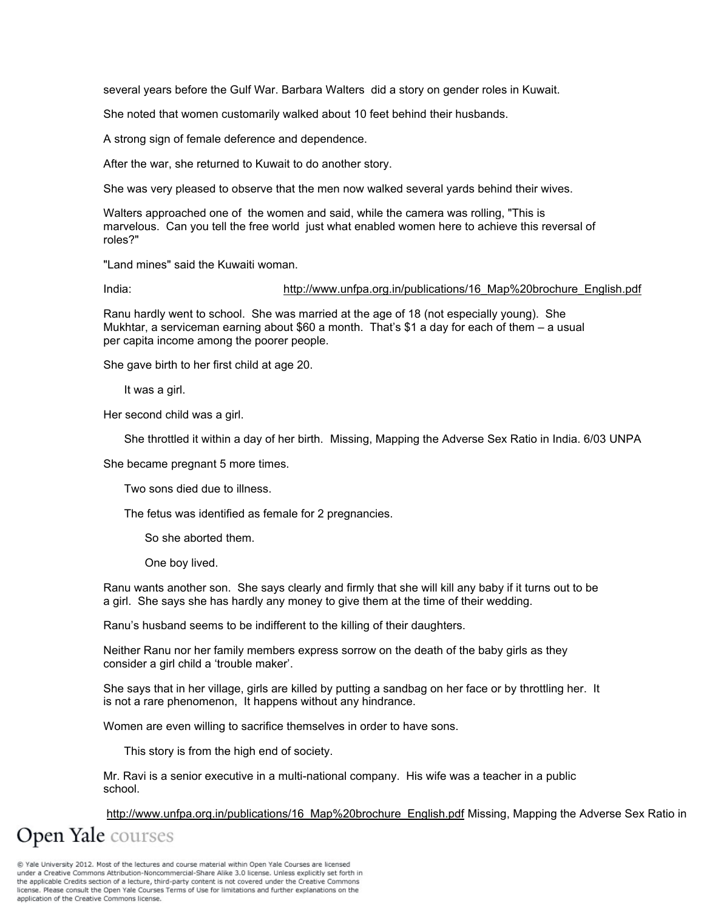several years before the Gulf War. Barbara Walters did a story on gender roles in Kuwait.

She noted that women customarily walked about 10 feet behind their husbands.

A strong sign of female deference and dependence.

After the war, she returned to Kuwait to do another story.

She was very pleased to observe that the men now walked several yards behind their wives.

Walters approached one of the women and said, while the camera was rolling, "This is marvelous. Can you tell the free world just what enabled women here to achieve this reversal of roles?"

"Land mines" said the Kuwaiti woman.

#### India: http://www.unfpa.org.in/publications/16\_Map%20brochure\_English.pdf

Ranu hardly went to school. She was married at the age of 18 (not especially young). She Mukhtar, a serviceman earning about \$60 a month. That's \$1 a day for each of them – a usual per capita income among the poorer people.

She gave birth to her first child at age 20.

It was a girl.

Her second child was a girl.

She throttled it within a day of her birth. Missing, Mapping the Adverse Sex Ratio in India. 6/03 UNPA

She became pregnant 5 more times.

Two sons died due to illness.

The fetus was identified as female for 2 pregnancies.

So she aborted them.

One boy lived.

Ranu wants another son. She says clearly and firmly that she will kill any baby if it turns out to be a girl. She says she has hardly any money to give them at the time of their wedding.

Ranu's husband seems to be indifferent to the killing of their daughters.

Neither Ranu nor her family members express sorrow on the death of the baby girls as they consider a girl child a 'trouble maker'.

She says that in her village, girls are killed by putting a sandbag on her face or by throttling her. It is not a rare phenomenon, It happens without any hindrance.

Women are even willing to sacrifice themselves in order to have sons.

This story is from the high end of society.

Mr. Ravi is a senior executive in a multi-national company. His wife was a teacher in a public school.

http://www.unfpa.org.in/publications/16 Map%20brochure English.pdf Missing, Mapping the Adverse Sex Ratio in

**Open Yale** courses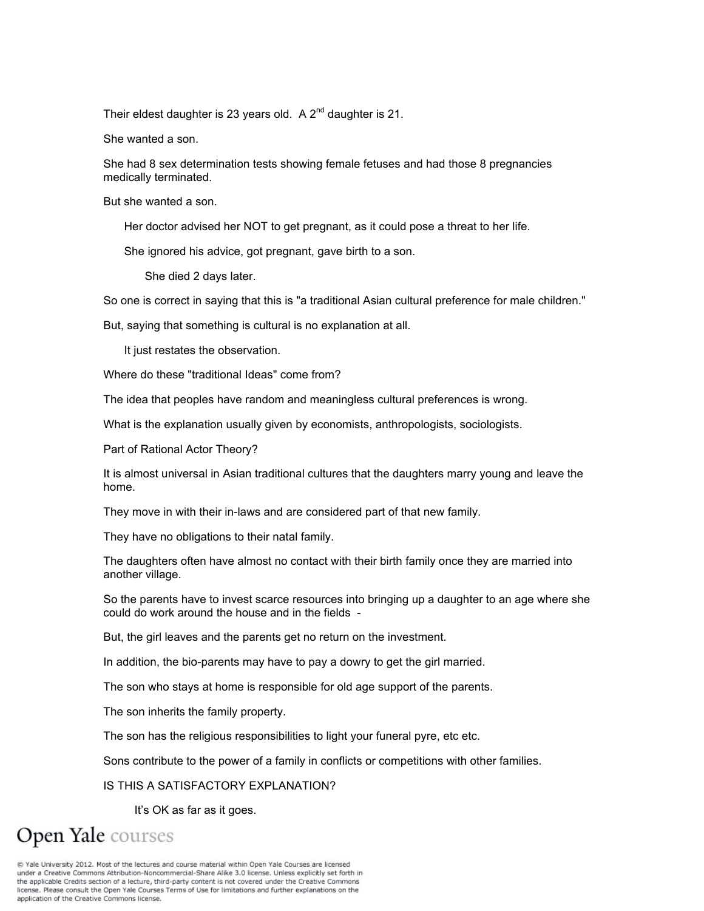Their eldest daughter is 23 years old. A  $2^{nd}$  daughter is 21.

She wanted a son.

She had 8 sex determination tests showing female fetuses and had those 8 pregnancies medically terminated.

But she wanted a son.

Her doctor advised her NOT to get pregnant, as it could pose a threat to her life.

She ignored his advice, got pregnant, gave birth to a son.

She died 2 days later.

So one is correct in saying that this is "a traditional Asian cultural preference for male children."

But, saying that something is cultural is no explanation at all.

It just restates the observation.

Where do these "traditional Ideas" come from?

The idea that peoples have random and meaningless cultural preferences is wrong.

What is the explanation usually given by economists, anthropologists, sociologists.

Part of Rational Actor Theory?

It is almost universal in Asian traditional cultures that the daughters marry young and leave the home.

They move in with their in-laws and are considered part of that new family.

They have no obligations to their natal family.

The daughters often have almost no contact with their birth family once they are married into another village.

So the parents have to invest scarce resources into bringing up a daughter to an age where she could do work around the house and in the fields -

But, the girl leaves and the parents get no return on the investment.

In addition, the bio-parents may have to pay a dowry to get the girl married.

The son who stays at home is responsible for old age support of the parents.

The son inherits the family property.

The son has the religious responsibilities to light your funeral pyre, etc etc.

Sons contribute to the power of a family in conflicts or competitions with other families.

IS THIS A SATISFACTORY EXPLANATION?

It's OK as far as it goes.

Open Yale courses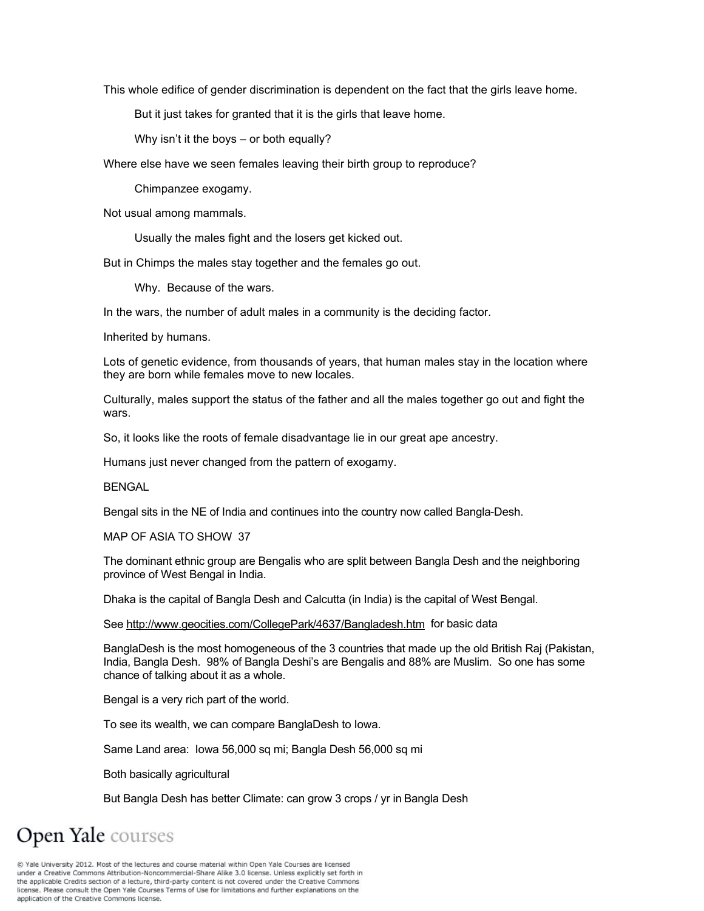This whole edifice of gender discrimination is dependent on the fact that the girls leave home.

But it just takes for granted that it is the girls that leave home.

Why isn't it the boys – or both equally?

Where else have we seen females leaving their birth group to reproduce?

Chimpanzee exogamy.

Not usual among mammals.

Usually the males fight and the losers get kicked out.

But in Chimps the males stay together and the females go out.

Why. Because of the wars.

In the wars, the number of adult males in a community is the deciding factor.

Inherited by humans.

Lots of genetic evidence, from thousands of years, that human males stay in the location where they are born while females move to new locales.

Culturally, males support the status of the father and all the males together go out and fight the wars.

So, it looks like the roots of female disadvantage lie in our great ape ancestry.

Humans just never changed from the pattern of exogamy.

**BENGAL** 

Bengal sits in the NE of India and continues into the country now called Bangla-Desh.

MAP OF ASIA TO SHOW 37

The dominant ethnic group are Bengalis who are split between Bangla Desh and the neighboring province of West Bengal in India.

Dhaka is the capital of Bangla Desh and Calcutta (in India) is the capital of West Bengal.

See http://www.geocities.com/CollegePark/4637/Bangladesh.htm for basic data

BanglaDesh is the most homogeneous of the 3 countries that made up the old British Raj (Pakistan, India, Bangla Desh. 98% of Bangla Deshi's are Bengalis and 88% are Muslim. So one has some chance of talking about it as a whole.

Bengal is a very rich part of the world.

To see its wealth, we can compare BanglaDesh to Iowa.

Same Land area: Iowa 56,000 sq mi; Bangla Desh 56,000 sq mi

Both basically agricultural

But Bangla Desh has better Climate: can grow 3 crops / yr in Bangla Desh

# **Open Yale** courses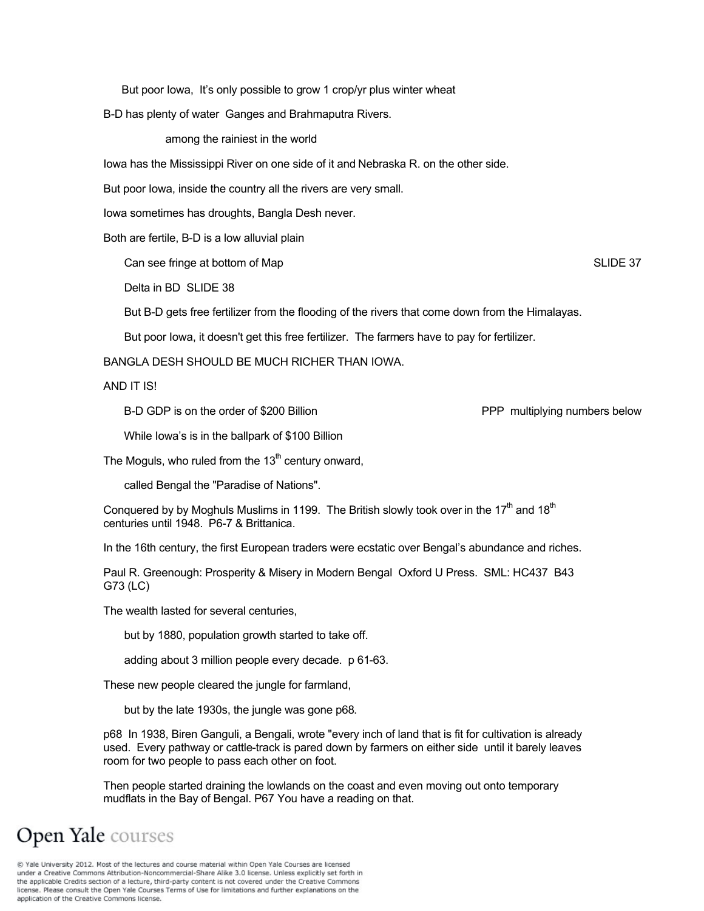But poor Iowa, It's only possible to grow 1 crop/yr plus winter wheat

B-D has plenty of water Ganges and Brahmaputra Rivers.

among the rainiest in the world

Iowa has the Mississippi River on one side of it and Nebraska R. on the other side.

But poor Iowa, inside the country all the rivers are very small.

Iowa sometimes has droughts, Bangla Desh never.

Both are fertile, B-D is a low alluvial plain

Can see fringe at bottom of Map SLIDE 37

Delta in BD SLIDE 38

But B-D gets free fertilizer from the flooding of the rivers that come down from the Himalayas.

But poor Iowa, it doesn't get this free fertilizer. The farmers have to pay for fertilizer.

BANGLA DESH SHOULD BE MUCH RICHER THAN IOWA.

AND IT IS!

B-D GDP is on the order of \$200 Billion **PPP** multiplying numbers below

While Iowa's is in the ballpark of \$100 Billion

The Moguls, who ruled from the  $13<sup>th</sup>$  century onward,

called Bengal the "Paradise of Nations".

Conquered by by Moghuls Muslims in 1199. The British slowly took over in the  $17<sup>th</sup>$  and  $18<sup>th</sup>$ centuries until 1948. P6-7 & Brittanica.

In the 16th century, the first European traders were ecstatic over Bengal's abundance and riches.

Paul R. Greenough: Prosperity & Misery in Modern Bengal Oxford U Press. SML: HC437 B43 G73 (LC)

The wealth lasted for several centuries,

but by 1880, population growth started to take off.

adding about 3 million people every decade. p 61-63.

These new people cleared the jungle for farmland,

but by the late 1930s, the jungle was gone p68.

p68 In 1938, Biren Ganguli, a Bengali, wrote "every inch of land that is fit for cultivation is already used. Every pathway or cattle-track is pared down by farmers on either side until it barely leaves room for two people to pass each other on foot.

Then people started draining the lowlands on the coast and even moving out onto temporary mudflats in the Bay of Bengal. P67 You have a reading on that.

### Open Yale courses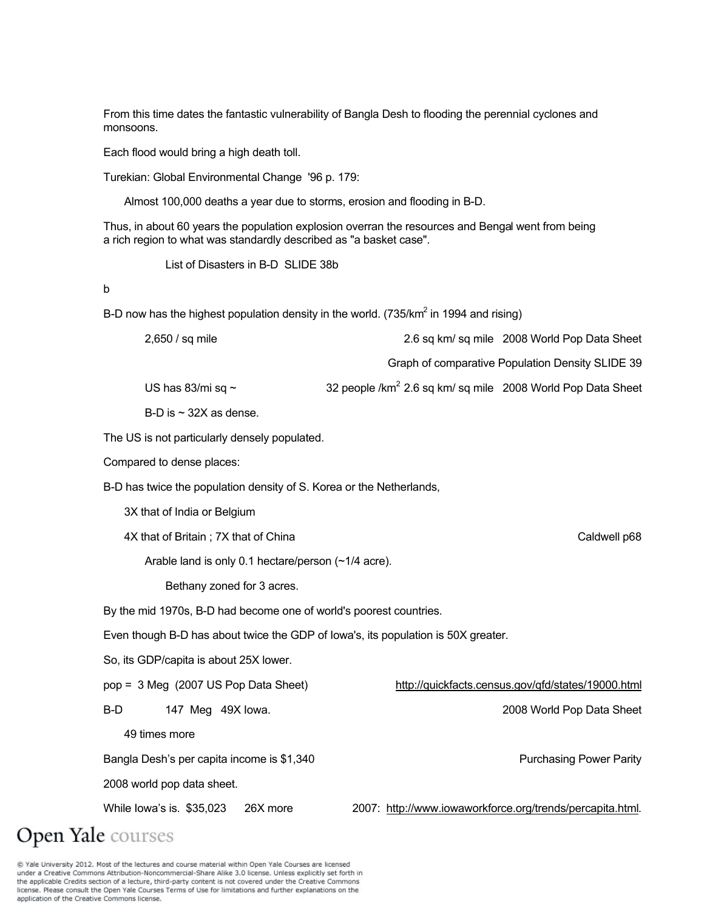From this time dates the fantastic vulnerability of Bangla Desh to flooding the perennial cyclones and monsoons.

Each flood would bring a high death toll.

Turekian: Global Environmental Change '96 p. 179:

Almost 100,000 deaths a year due to storms, erosion and flooding in B-D.

Thus, in about 60 years the population explosion overran the resources and Bengal went from being a rich region to what was standardly described as "a basket case".

List of Disasters in B-D SLIDE 38b

b

B-D now has the highest population density in the world. (735/km<sup>2</sup> in 1994 and rising)

| 2,650 / sq mile                                                                   | 2.6 sq km/ sq mile 2008 World Pop Data Sheet                            |  |
|-----------------------------------------------------------------------------------|-------------------------------------------------------------------------|--|
|                                                                                   | Graph of comparative Population Density SLIDE 39                        |  |
| US has 83/mi sq $\sim$                                                            | 32 people /km <sup>2</sup> 2.6 sq km/ sq mile 2008 World Pop Data Sheet |  |
| B-D is $\sim$ 32X as dense.                                                       |                                                                         |  |
| The US is not particularly densely populated.                                     |                                                                         |  |
| Compared to dense places:                                                         |                                                                         |  |
| B-D has twice the population density of S. Korea or the Netherlands,              |                                                                         |  |
| 3X that of India or Belgium                                                       |                                                                         |  |
| 4X that of Britain; 7X that of China                                              | Caldwell p68                                                            |  |
| Arable land is only 0.1 hectare/person (~1/4 acre).                               |                                                                         |  |
| Bethany zoned for 3 acres.                                                        |                                                                         |  |
| By the mid 1970s, B-D had become one of world's poorest countries.                |                                                                         |  |
| Even though B-D has about twice the GDP of lowa's, its population is 50X greater. |                                                                         |  |
| So, its GDP/capita is about 25X lower.                                            |                                                                         |  |
| pop = 3 Meg (2007 US Pop Data Sheet)                                              | http://quickfacts.census.gov/qfd/states/19000.html                      |  |
| B-D<br>147 Meg 49X lowa.                                                          | 2008 World Pop Data Sheet                                               |  |
| 49 times more                                                                     |                                                                         |  |
| Bangla Desh's per capita income is \$1,340                                        | <b>Purchasing Power Parity</b>                                          |  |
| 2008 world pop data sheet.                                                        |                                                                         |  |
| 26X more<br>While lowa's is. \$35,023                                             | 2007: http://www.iowaworkforce.org/trends/percapita.html.               |  |
| <b>Open Yale</b> courses                                                          |                                                                         |  |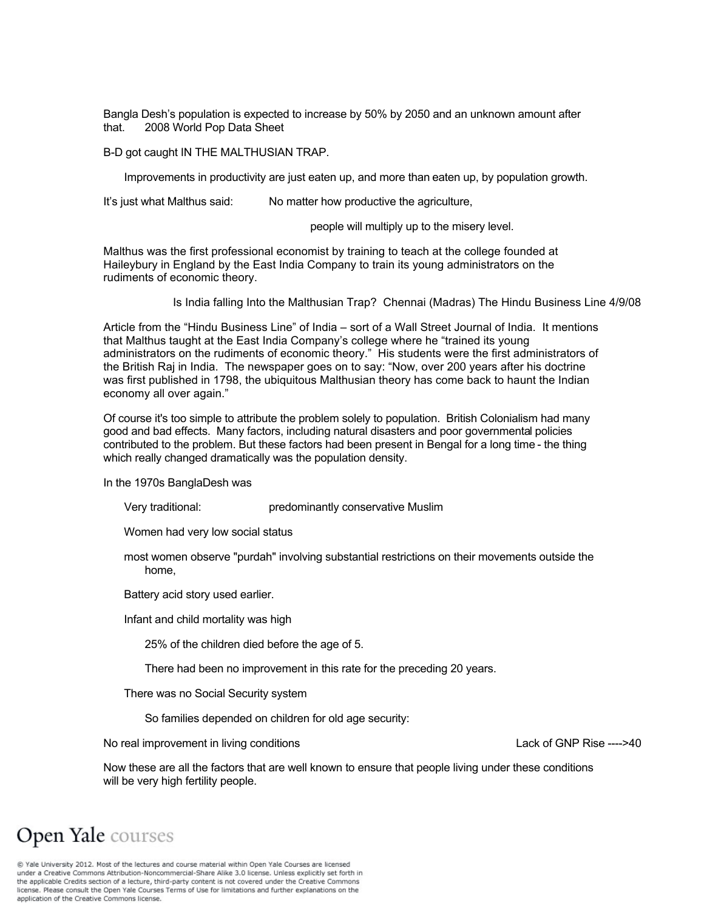Bangla Desh's population is expected to increase by 50% by 2050 and an unknown amount after that. 2008 World Pop Data Sheet

B-D got caught IN THE MALTHUSIAN TRAP.

Improvements in productivity are just eaten up, and more than eaten up, by population growth.

It's just what Malthus said: No matter how productive the agriculture,

people will multiply up to the misery level.

Malthus was the first professional economist by training to teach at the college founded at Haileybury in England by the East India Company to train its young administrators on the rudiments of economic theory.

Is India falling Into the Malthusian Trap? Chennai (Madras) The Hindu Business Line 4/9/08

Article from the "Hindu Business Line" of India – sort of a Wall Street Journal of India. It mentions that Malthus taught at the East India Company's college where he "trained its young administrators on the rudiments of economic theory." His students were the first administrators of the British Raj in India. The newspaper goes on to say: "Now, over 200 years after his doctrine was first published in 1798, the ubiquitous Malthusian theory has come back to haunt the Indian economy all over again."

Of course it's too simple to attribute the problem solely to population. British Colonialism had many good and bad effects. Many factors, including natural disasters and poor governmental policies contributed to the problem. But these factors had been present in Bengal for a long time - the thing which really changed dramatically was the population density.

In the 1970s BanglaDesh was

Very traditional: predominantly conservative Muslim

Women had very low social status

 most women observe "purdah" involving substantial restrictions on their movements outside the home,

Battery acid story used earlier.

Infant and child mortality was high

25% of the children died before the age of 5.

There had been no improvement in this rate for the preceding 20 years.

There was no Social Security system

So families depended on children for old age security:

No real improvement in living conditions Lack of GNP Rise ---->40

Now these are all the factors that are well known to ensure that people living under these conditions will be very high fertility people.

### **Open Yale** courses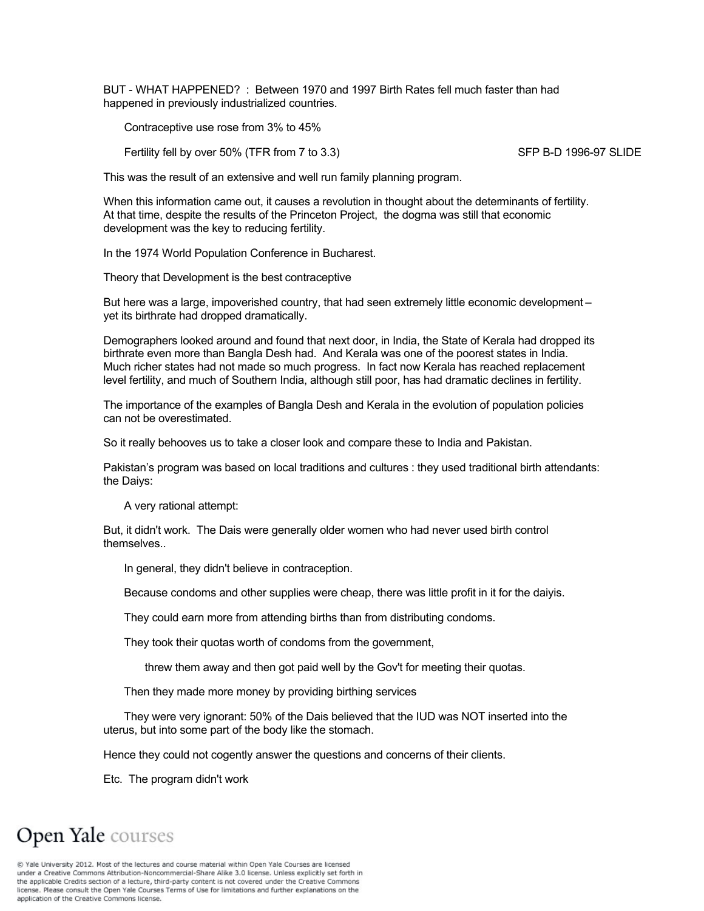BUT - WHAT HAPPENED? : Between 1970 and 1997 Birth Rates fell much faster than had happened in previously industrialized countries.

Contraceptive use rose from 3% to 45%

Fertility fell by over 50% (TFR from 7 to 3.3) SFP B-D 1996-97 SLIDE

This was the result of an extensive and well run family planning program.

When this information came out, it causes a revolution in thought about the deteminants of fertility. At that time, despite the results of the Princeton Project, the dogma was still that economic development was the key to reducing fertility.

In the 1974 World Population Conference in Bucharest.

Theory that Development is the best contraceptive

But here was a large, impoverished country, that had seen extremely little economic development – yet its birthrate had dropped dramatically.

Demographers looked around and found that next door, in India, the State of Kerala had dropped its birthrate even more than Bangla Desh had. And Kerala was one of the poorest states in India. Much richer states had not made so much progress. In fact now Kerala has reached replacement level fertility, and much of Southern India, although still poor, has had dramatic declines in fertility.

The importance of the examples of Bangla Desh and Kerala in the evolution of population policies can not be overestimated.

So it really behooves us to take a closer look and compare these to India and Pakistan.

Pakistan's program was based on local traditions and cultures : they used traditional birth attendants: the Daiys:

A very rational attempt:

But, it didn't work. The Dais were generally older women who had never used birth control themselves..

In general, they didn't believe in contraception.

Because condoms and other supplies were cheap, there was little profit in it for the daiyis.

They could earn more from attending births than from distributing condoms.

They took their quotas worth of condoms from the government,

threw them away and then got paid well by the Gov't for meeting their quotas.

Then they made more money by providing birthing services

 They were very ignorant: 50% of the Dais believed that the IUD was NOT inserted into the uterus, but into some part of the body like the stomach.

Hence they could not cogently answer the questions and concerns of their clients.

Etc. The program didn't work

# **Open Yale** courses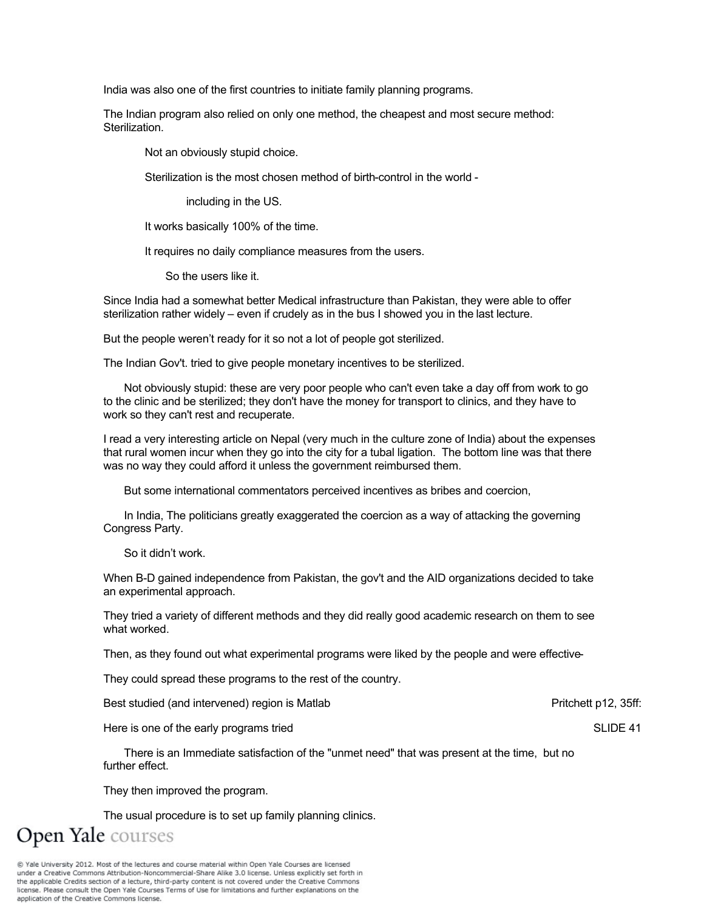India was also one of the first countries to initiate family planning programs.

The Indian program also relied on only one method, the cheapest and most secure method: Sterilization.

Not an obviously stupid choice.

Sterilization is the most chosen method of birth-control in the world -

including in the US.

It works basically 100% of the time.

It requires no daily compliance measures from the users.

So the users like it.

Since India had a somewhat better Medical infrastructure than Pakistan, they were able to offer sterilization rather widely – even if crudely as in the bus I showed you in the last lecture.

But the people weren't ready for it so not a lot of people got sterilized.

The Indian Gov't. tried to give people monetary incentives to be sterilized.

 Not obviously stupid: these are very poor people who can't even take a day off from work to go to the clinic and be sterilized; they don't have the money for transport to clinics, and they have to work so they can't rest and recuperate.

I read a very interesting article on Nepal (very much in the culture zone of India) about the expenses that rural women incur when they go into the city for a tubal ligation. The bottom line was that there was no way they could afford it unless the government reimbursed them.

But some international commentators perceived incentives as bribes and coercion,

 In India, The politicians greatly exaggerated the coercion as a way of attacking the governing Congress Party.

So it didn't work.

When B-D gained independence from Pakistan, the gov't and the AID organizations decided to take an experimental approach.

They tried a variety of different methods and they did really good academic research on them to see what worked.

Then, as they found out what experimental programs were liked by the people and were effective-

They could spread these programs to the rest of the country.

Best studied (and intervened) region is Matlab Pritchett p12, 35ff:

Here is one of the early programs tried SLIDE 41

 There is an Immediate satisfaction of the "unmet need" that was present at the time, but no further effect.

They then improved the program.

The usual procedure is to set up family planning clinics.

**Open Yale** courses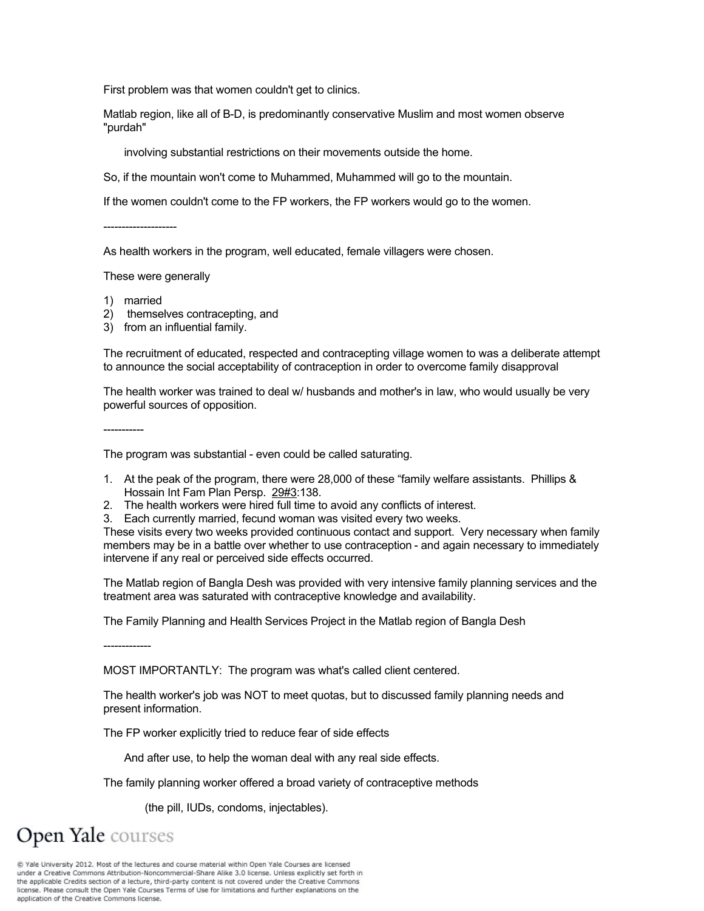First problem was that women couldn't get to clinics.

Matlab region, like all of B-D, is predominantly conservative Muslim and most women observe "purdah"

involving substantial restrictions on their movements outside the home.

So, if the mountain won't come to Muhammed, Muhammed will go to the mountain.

If the women couldn't come to the FP workers, the FP workers would go to the women.

As health workers in the program, well educated, female villagers were chosen.

These were generally

1) married

-----------

--------------------

- 2) themselves contracepting, and
- 3) from an influential family.

The recruitment of educated, respected and contracepting village women to was a deliberate attempt to announce the social acceptability of contraception in order to overcome family disapproval

The health worker was trained to deal w/ husbands and mother's in law, who would usually be very powerful sources of opposition.

The program was substantial - even could be called saturating.

- 1. At the peak of the program, there were 28,000 of these "family welfare assistants. Phillips & Hossain Int Fam Plan Persp. 29#3:138.
- 2. The health workers were hired full time to avoid any conflicts of interest.
- 3. Each currently married, fecund woman was visited every two weeks.

These visits every two weeks provided continuous contact and support. Very necessary when family members may be in a battle over whether to use contraception - and again necessary to immediately intervene if any real or perceived side effects occurred.

The Matlab region of Bangla Desh was provided with very intensive family planning services and the treatment area was saturated with contraceptive knowledge and availability.

The Family Planning and Health Services Project in the Matlab region of Bangla Desh

-------------

MOST IMPORTANTLY: The program was what's called client centered.

The health worker's job was NOT to meet quotas, but to discussed family planning needs and present information.

The FP worker explicitly tried to reduce fear of side effects

And after use, to help the woman deal with any real side effects.

The family planning worker offered a broad variety of contraceptive methods

(the pill, IUDs, condoms, injectables).

**Open Yale** courses